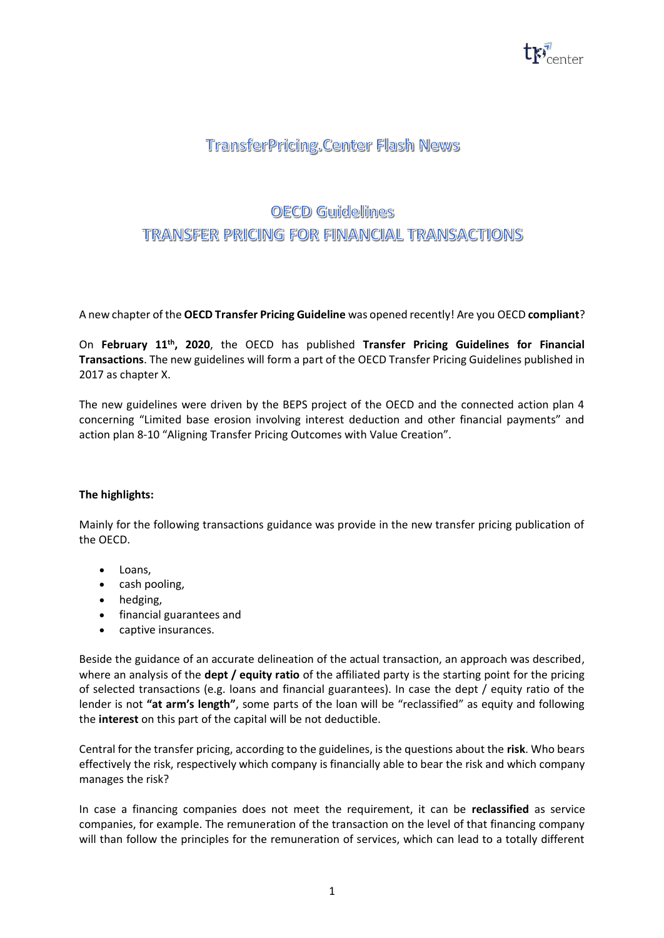

## **TransferPricing.Center Flash News**

## OECD Guildellines TRANSFER PRICING FOR FINANCIAL TRANSACTIONS

A new chapter of the **OECD Transfer Pricing Guideline** was opened recently! Are you OECD **compliant**?

On **February 11th, 2020**, the OECD has published **Transfer Pricing Guidelines for Financial Transactions**. The new guidelines will form a part of the OECD Transfer Pricing Guidelines published in 2017 as chapter X.

The new guidelines were driven by the BEPS project of the OECD and the connected action plan 4 concerning "Limited base erosion involving interest deduction and other financial payments" and action plan 8-10 "Aligning Transfer Pricing Outcomes with Value Creation".

## **The highlights:**

Mainly for the following transactions guidance was provide in the new transfer pricing publication of the OECD.

- Loans,
- cash pooling,
- hedging,
- financial guarantees and
- captive insurances.

Beside the guidance of an accurate delineation of the actual transaction, an approach was described, where an analysis of the **dept / equity ratio** of the affiliated party is the starting point for the pricing of selected transactions (e.g. loans and financial guarantees). In case the dept / equity ratio of the lender is not **"at arm's length"**, some parts of the loan will be "reclassified" as equity and following the **interest** on this part of the capital will be not deductible.

Central for the transfer pricing, according to the guidelines, is the questions about the **risk**. Who bears effectively the risk, respectively which company is financially able to bear the risk and which company manages the risk?

In case a financing companies does not meet the requirement, it can be **reclassified** as service companies, for example. The remuneration of the transaction on the level of that financing company will than follow the principles for the remuneration of services, which can lead to a totally different